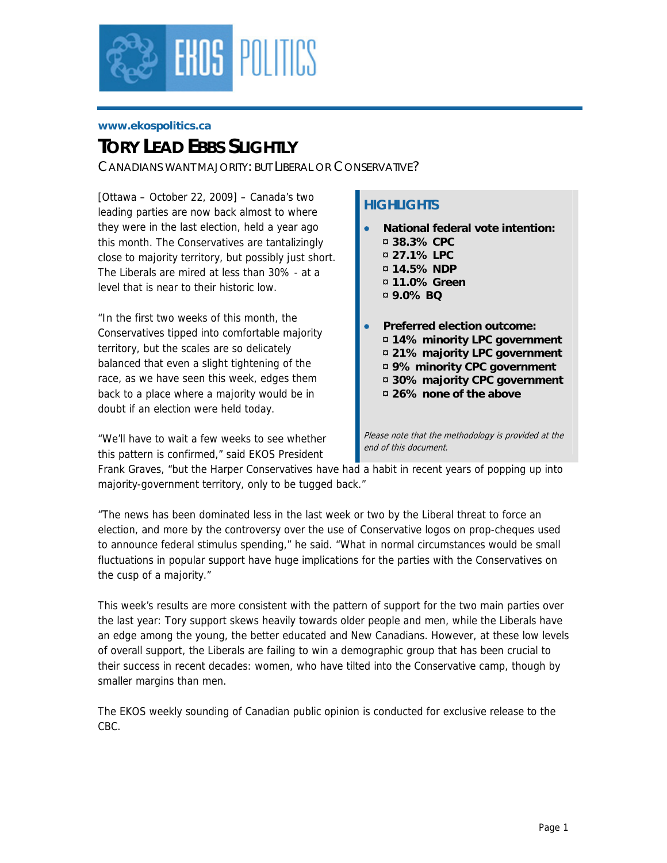

#### **www.ekospolitics.ca**

# *TORY LEAD FBBS SLIGHTLY*

*CANADIANS WANT MAJORITY: BUT LIBERAL OR CONSERVATIVE?* 

[Ottawa – October 22, 2009] – Canada's two leading parties are now back almost to where they were in the last election, held a year ago this month. The Conservatives are tantalizingly close to majority territory, but possibly just short. The Liberals are mired at less than 30% - at a level that is near to their historic low.

"In the first two weeks of this month, the Conservatives tipped into comfortable majority territory, but the scales are so delicately balanced that even a slight tightening of the race, as we have seen this week, edges them back to a place where a majority would be in doubt if an election were held today.

"We'll have to wait a few weeks to see whether this pattern is confirmed," said EKOS President

# **HIGHLIGHTS**

- **National federal vote intention:** 
	- ¤ **38.3% CPC**
	- ¤ **27.1% LPC**
	- ¤ **14.5% NDP**
	- ¤ **11.0% Green**
	- ¤ **9.0% BQ**
- **Preferred election outcome:** 
	- ¤ **14% minority LPC government**
	- ¤ **21% majority LPC government**
	- ¤ **9% minority CPC government**
	- ¤ **30% majority CPC government**
	- ¤ **26% none of the above**

Please note that the methodology is provided at the end of this document.

Frank Graves, "but the Harper Conservatives have had a habit in recent years of popping up into majority-government territory, only to be tugged back."

"The news has been dominated less in the last week or two by the Liberal threat to force an election, and more by the controversy over the use of Conservative logos on prop-cheques used to announce federal stimulus spending," he said. "What in normal circumstances would be small fluctuations in popular support have huge implications for the parties with the Conservatives on the cusp of a majority."

This week's results are more consistent with the pattern of support for the two main parties over the last year: Tory support skews heavily towards older people and men, while the Liberals have an edge among the young, the better educated and New Canadians. However, at these low levels of overall support, the Liberals are failing to win a demographic group that has been crucial to their success in recent decades: women, who have tilted into the Conservative camp, though by smaller margins than men.

The EKOS weekly sounding of Canadian public opinion is conducted for exclusive release to the CBC.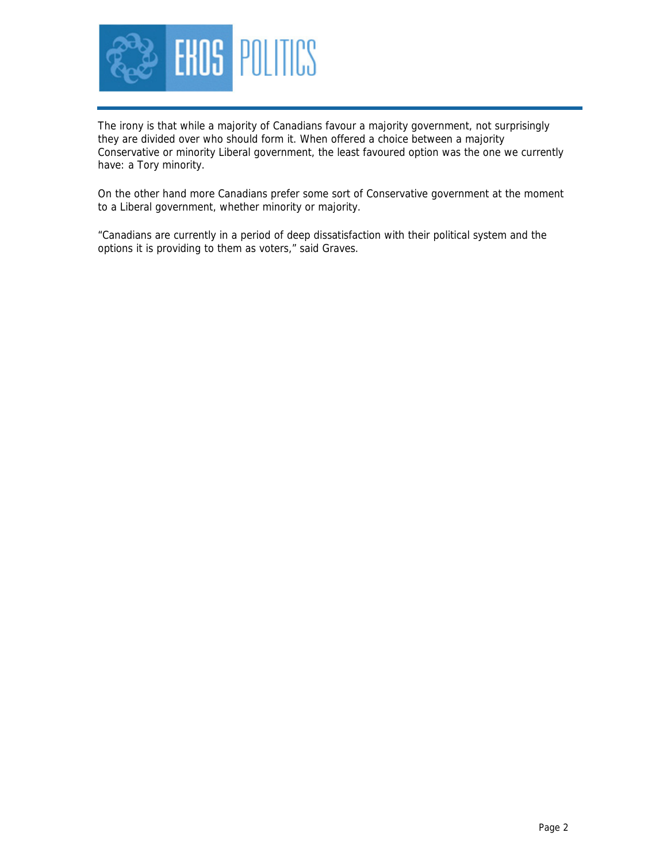

The irony is that while a majority of Canadians favour a majority government, not surprisingly they are divided over who should form it. When offered a choice between a majority Conservative or minority Liberal government, the least favoured option was the one we currently have: a Tory minority.

On the other hand more Canadians prefer some sort of Conservative government at the moment to a Liberal government, whether minority or majority.

"Canadians are currently in a period of deep dissatisfaction with their political system and the options it is providing to them as voters," said Graves.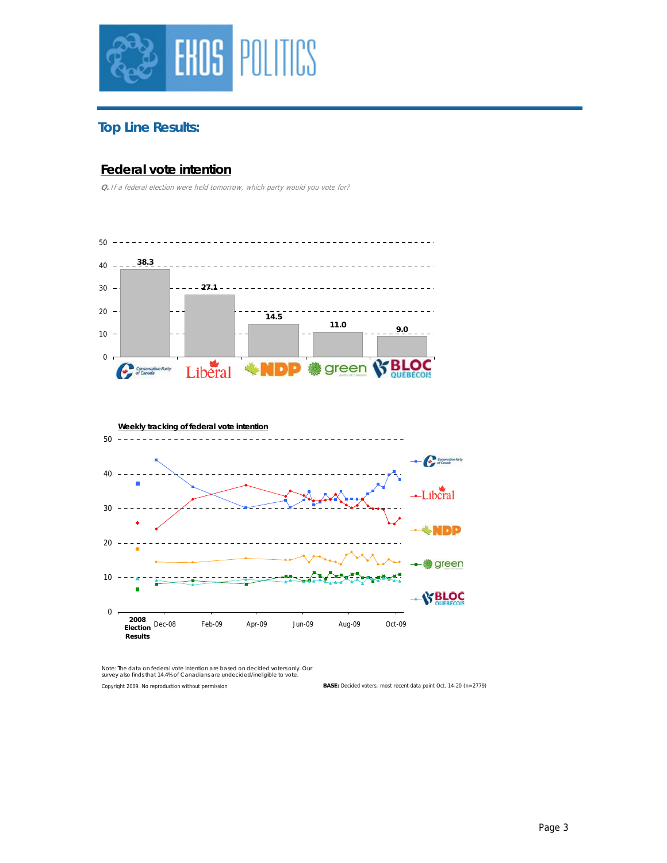

# **Top Line Results:**

# **Federal vote intention**

**Q.** If a federal election were held tomorrow, which party would you vote for?





Copyright 2009. No reproduction without permission *Note: The data on federal vote intention are based on decided voters only. Our survey also finds that 14.4% of Canadians are undecided/ineligible to vote.*

**BASE:** Decided voters; most recent data point Oct. 14-20 (n=2779)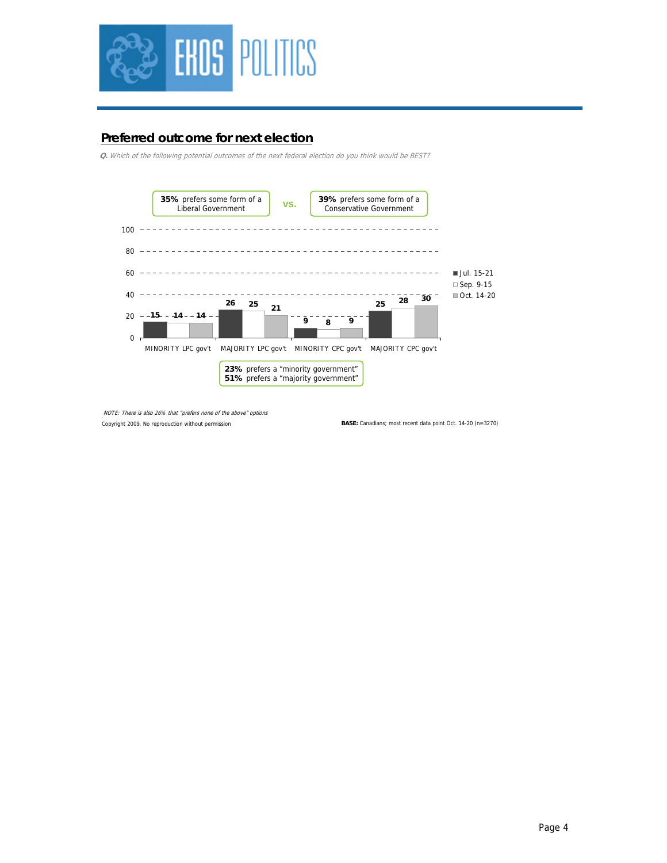

## **Preferred outcome for next election**

**Q.** Which of the following potential outcomes of the next federal election do you think would be BEST?



Copyright 2009. No reproduction without permission NOTE: There is also 26% that "prefers none of the above" options

**BASE:** Canadians; most recent data point Oct. 14-20 (n=3270)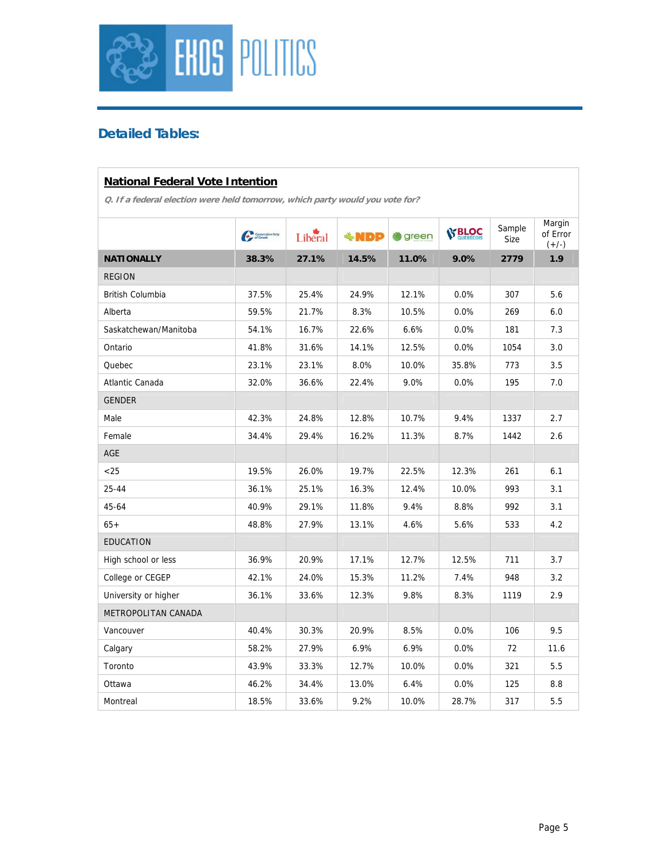

# **Detailed Tables:**

#### **National Federal Vote Intention**

|                       | $C_{\mathcal{F}}$ Standard Refs. | Liberal | <b>+NDP</b> | <b>卷</b> green | <b>SS BLOC</b> | Sample<br>Size | Margin<br>of Error<br>$(+/-)$ |
|-----------------------|----------------------------------|---------|-------------|----------------|----------------|----------------|-------------------------------|
| <b>NATIONALLY</b>     | 38.3%                            | 27.1%   | 14.5%       | 11.0%          | 9.0%           | 2779           | 1.9                           |
| <b>REGION</b>         |                                  |         |             |                |                |                |                               |
| British Columbia      | 37.5%                            | 25.4%   | 24.9%       | 12.1%          | 0.0%           | 307            | 5.6                           |
| Alberta               | 59.5%                            | 21.7%   | 8.3%        | 10.5%          | 0.0%           | 269            | 6.0                           |
| Saskatchewan/Manitoba | 54.1%                            | 16.7%   | 22.6%       | 6.6%           | 0.0%           | 181            | 7.3                           |
| Ontario               | 41.8%                            | 31.6%   | 14.1%       | 12.5%          | 0.0%           | 1054           | 3.0                           |
| Quebec                | 23.1%                            | 23.1%   | 8.0%        | 10.0%          | 35.8%          | 773            | 3.5                           |
| Atlantic Canada       | 32.0%                            | 36.6%   | 22.4%       | 9.0%           | 0.0%           | 195            | 7.0                           |
| <b>GENDER</b>         |                                  |         |             |                |                |                |                               |
| Male                  | 42.3%                            | 24.8%   | 12.8%       | 10.7%          | 9.4%           | 1337           | 2.7                           |
| Female                | 34.4%                            | 29.4%   | 16.2%       | 11.3%          | 8.7%           | 1442           | 2.6                           |
| AGE                   |                                  |         |             |                |                |                |                               |
| < 25                  | 19.5%                            | 26.0%   | 19.7%       | 22.5%          | 12.3%          | 261            | 6.1                           |
| $25 - 44$             | 36.1%                            | 25.1%   | 16.3%       | 12.4%          | 10.0%          | 993            | 3.1                           |
| 45-64                 | 40.9%                            | 29.1%   | 11.8%       | 9.4%           | 8.8%           | 992            | 3.1                           |
| $65+$                 | 48.8%                            | 27.9%   | 13.1%       | 4.6%           | 5.6%           | 533            | 4.2                           |
| <b>EDUCATION</b>      |                                  |         |             |                |                |                |                               |
| High school or less   | 36.9%                            | 20.9%   | 17.1%       | 12.7%          | 12.5%          | 711            | 3.7                           |
| College or CEGEP      | 42.1%                            | 24.0%   | 15.3%       | 11.2%          | 7.4%           | 948            | 3.2                           |
| University or higher  | 36.1%                            | 33.6%   | 12.3%       | 9.8%           | 8.3%           | 1119           | 2.9                           |
| METROPOLITAN CANADA   |                                  |         |             |                |                |                |                               |
| Vancouver             | 40.4%                            | 30.3%   | 20.9%       | 8.5%           | 0.0%           | 106            | 9.5                           |
| Calgary               | 58.2%                            | 27.9%   | 6.9%        | 6.9%           | $0.0\%$        | 72             | 11.6                          |
| Toronto               | 43.9%                            | 33.3%   | 12.7%       | 10.0%          | 0.0%           | 321            | 5.5                           |
| Ottawa                | 46.2%                            | 34.4%   | 13.0%       | 6.4%           | 0.0%           | 125            | 8.8                           |
| Montreal              | 18.5%                            | 33.6%   | 9.2%        | 10.0%          | 28.7%          | 317            | 5.5                           |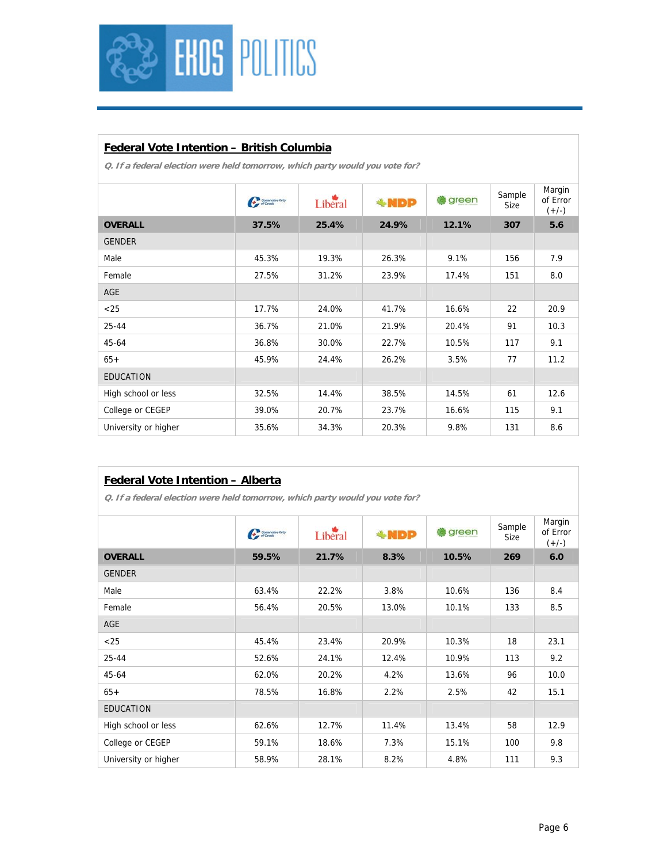

### **Federal Vote Intention – British Columbia**

| Margin<br>Sample<br>Liberal<br>of Error<br>green<br><b>Communities</b> Party<br><b>*NDP</b><br>Size<br>$(+/-)$<br><b>OVERALL</b><br>24.9%<br>12.1%<br>37.5%<br>25.4%<br>307<br>5.6<br><b>GENDER</b><br>7.9<br>Male<br>9.1%<br>156<br>45.3%<br>19.3%<br>26.3%<br>8.0<br>Female<br>27.5%<br>31.2%<br>23.9%<br>17.4%<br>151<br><b>AGE</b><br>17.7%<br>20.9<br>$<$ 25<br>24.0%<br>41.7%<br>16.6%<br>22<br>21.0%<br>21.9%<br>10.3<br>$25 - 44$<br>36.7%<br>20.4%<br>91<br>9.1<br>45-64<br>36.8%<br>30.0%<br>22.7%<br>10.5%<br>117<br>77<br>11.2<br>45.9%<br>24.4%<br>26.2%<br>3.5%<br>$65+$<br><b>EDUCATION</b><br>High school or less<br>61<br>32.5%<br>14.4%<br>38.5%<br>14.5%<br>12.6<br>9.1<br>College or CEGEP<br>39.0%<br>20.7%<br>23.7%<br>16.6%<br>115<br>University or higher<br>35.6%<br>20.3%<br>9.8%<br>131<br>8.6<br>34.3% |  |  |  |  |
|------------------------------------------------------------------------------------------------------------------------------------------------------------------------------------------------------------------------------------------------------------------------------------------------------------------------------------------------------------------------------------------------------------------------------------------------------------------------------------------------------------------------------------------------------------------------------------------------------------------------------------------------------------------------------------------------------------------------------------------------------------------------------------------------------------------------------------|--|--|--|--|
|                                                                                                                                                                                                                                                                                                                                                                                                                                                                                                                                                                                                                                                                                                                                                                                                                                    |  |  |  |  |
|                                                                                                                                                                                                                                                                                                                                                                                                                                                                                                                                                                                                                                                                                                                                                                                                                                    |  |  |  |  |
|                                                                                                                                                                                                                                                                                                                                                                                                                                                                                                                                                                                                                                                                                                                                                                                                                                    |  |  |  |  |
|                                                                                                                                                                                                                                                                                                                                                                                                                                                                                                                                                                                                                                                                                                                                                                                                                                    |  |  |  |  |
|                                                                                                                                                                                                                                                                                                                                                                                                                                                                                                                                                                                                                                                                                                                                                                                                                                    |  |  |  |  |
|                                                                                                                                                                                                                                                                                                                                                                                                                                                                                                                                                                                                                                                                                                                                                                                                                                    |  |  |  |  |
|                                                                                                                                                                                                                                                                                                                                                                                                                                                                                                                                                                                                                                                                                                                                                                                                                                    |  |  |  |  |
|                                                                                                                                                                                                                                                                                                                                                                                                                                                                                                                                                                                                                                                                                                                                                                                                                                    |  |  |  |  |
|                                                                                                                                                                                                                                                                                                                                                                                                                                                                                                                                                                                                                                                                                                                                                                                                                                    |  |  |  |  |
|                                                                                                                                                                                                                                                                                                                                                                                                                                                                                                                                                                                                                                                                                                                                                                                                                                    |  |  |  |  |
|                                                                                                                                                                                                                                                                                                                                                                                                                                                                                                                                                                                                                                                                                                                                                                                                                                    |  |  |  |  |
|                                                                                                                                                                                                                                                                                                                                                                                                                                                                                                                                                                                                                                                                                                                                                                                                                                    |  |  |  |  |
|                                                                                                                                                                                                                                                                                                                                                                                                                                                                                                                                                                                                                                                                                                                                                                                                                                    |  |  |  |  |
|                                                                                                                                                                                                                                                                                                                                                                                                                                                                                                                                                                                                                                                                                                                                                                                                                                    |  |  |  |  |

| Federal Vote Intention - Alberta<br>Q. If a federal election were held tomorrow, which party would you vote for? |                         |         |        |       |                       |                               |  |  |  |
|------------------------------------------------------------------------------------------------------------------|-------------------------|---------|--------|-------|-----------------------|-------------------------------|--|--|--|
|                                                                                                                  | <b>Car Storedartery</b> | Liberal | $*NDP$ | green | Sample<br><b>Size</b> | Margin<br>of Error<br>$(+/-)$ |  |  |  |
| <b>OVERALL</b>                                                                                                   | 59.5%                   | 21.7%   | 8.3%   | 10.5% | 269                   | 6.0                           |  |  |  |
| <b>GENDER</b>                                                                                                    |                         |         |        |       |                       |                               |  |  |  |
| Male                                                                                                             | 63.4%                   | 22.2%   | 3.8%   | 10.6% | 136                   | 8.4                           |  |  |  |
| Female                                                                                                           | 56.4%                   | 20.5%   | 13.0%  | 10.1% | 133                   | 8.5                           |  |  |  |
| <b>AGE</b>                                                                                                       |                         |         |        |       |                       |                               |  |  |  |
| $25$                                                                                                             | 45.4%                   | 23.4%   | 20.9%  | 10.3% | 18                    | 23.1                          |  |  |  |
| $25 - 44$                                                                                                        | 52.6%                   | 24.1%   | 12.4%  | 10.9% | 113                   | 9.2                           |  |  |  |
| 45-64                                                                                                            | 62.0%                   | 20.2%   | 4.2%   | 13.6% | 96                    | 10.0                          |  |  |  |
| $65+$                                                                                                            | 78.5%                   | 16.8%   | 2.2%   | 2.5%  | 42                    | 15.1                          |  |  |  |
| <b>EDUCATION</b>                                                                                                 |                         |         |        |       |                       |                               |  |  |  |
| High school or less                                                                                              | 62.6%                   | 12.7%   | 11.4%  | 13.4% | 58                    | 12.9                          |  |  |  |
| College or CEGEP                                                                                                 | 59.1%                   | 18.6%   | 7.3%   | 15.1% | 100                   | 9.8                           |  |  |  |
| University or higher                                                                                             | 58.9%                   | 28.1%   | 8.2%   | 4.8%  | 111                   | 9.3                           |  |  |  |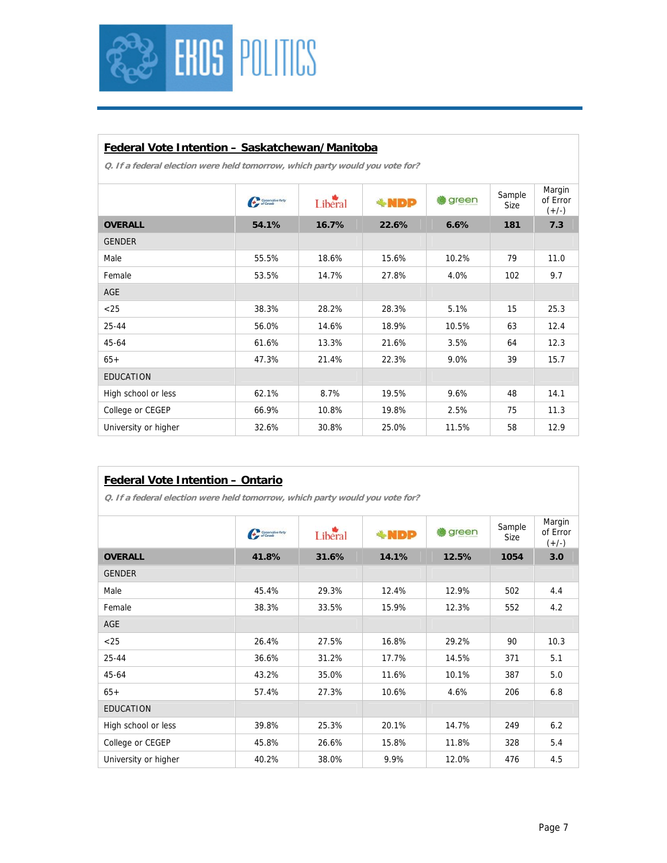

#### **Federal Vote Intention – Saskatchewan/Manitoba**

|                      | $C_{\ell}$ Standards | Liberal | $*NDP$ | green | Sample<br>Size | Margin<br>of Error<br>$(+/-)$ |
|----------------------|----------------------|---------|--------|-------|----------------|-------------------------------|
| <b>OVERALL</b>       | 54.1%                | 16.7%   | 22.6%  | 6.6%  | 181            | 7.3                           |
| <b>GENDER</b>        |                      |         |        |       |                |                               |
| Male                 | 55.5%                | 18.6%   | 15.6%  | 10.2% | 79             | 11.0                          |
| Female               | 53.5%                | 14.7%   | 27.8%  | 4.0%  | 102            | 9.7                           |
| AGE                  |                      |         |        |       |                |                               |
| $<$ 25               | 38.3%                | 28.2%   | 28.3%  | 5.1%  | 15             | 25.3                          |
| $25 - 44$            | 56.0%                | 14.6%   | 18.9%  | 10.5% | 63             | 12.4                          |
| $45 - 64$            | 61.6%                | 13.3%   | 21.6%  | 3.5%  | 64             | 12.3                          |
| $65+$                | 47.3%                | 21.4%   | 22.3%  | 9.0%  | 39             | 15.7                          |
| <b>EDUCATION</b>     |                      |         |        |       |                |                               |
| High school or less  | 62.1%                | 8.7%    | 19.5%  | 9.6%  | 48             | 14.1                          |
| College or CEGEP     | 66.9%                | 10.8%   | 19.8%  | 2.5%  | 75             | 11.3                          |
| University or higher | 32.6%                | 30.8%   | 25.0%  | 11.5% | 58             | 12.9                          |

| <b>Federal Vote Intention - Ontario</b>                                      |                          |         |        |       |                |                               |  |  |  |
|------------------------------------------------------------------------------|--------------------------|---------|--------|-------|----------------|-------------------------------|--|--|--|
| O. If a federal election were held tomorrow, which party would you vote for? |                          |         |        |       |                |                               |  |  |  |
|                                                                              | <b>Car Strange Party</b> | Libéral | $*NDP$ | green | Sample<br>Size | Margin<br>of Error<br>$(+/-)$ |  |  |  |
| <b>OVERALL</b>                                                               | 41.8%                    | 31.6%   | 14.1%  | 12.5% | 1054           | 3.0                           |  |  |  |
| <b>GENDER</b>                                                                |                          |         |        |       |                |                               |  |  |  |
| Male                                                                         | 45.4%                    | 29.3%   | 12.4%  | 12.9% | 502            | 4.4                           |  |  |  |
| Female                                                                       | 38.3%                    | 33.5%   | 15.9%  | 12.3% | 552            | 4.2                           |  |  |  |
| AGE                                                                          |                          |         |        |       |                |                               |  |  |  |
| $<$ 25                                                                       | 26.4%                    | 27.5%   | 16.8%  | 29.2% | 90             | 10.3                          |  |  |  |
| 25-44                                                                        | 36.6%                    | 31.2%   | 17.7%  | 14.5% | 371            | 5.1                           |  |  |  |
| 45-64                                                                        | 43.2%                    | 35.0%   | 11.6%  | 10.1% | 387            | 5.0                           |  |  |  |
| $65+$                                                                        | 57.4%                    | 27.3%   | 10.6%  | 4.6%  | 206            | 6.8                           |  |  |  |
| <b>EDUCATION</b>                                                             |                          |         |        |       |                |                               |  |  |  |
| High school or less                                                          | 39.8%                    | 25.3%   | 20.1%  | 14.7% | 249            | 6.2                           |  |  |  |
| College or CEGEP                                                             | 45.8%                    | 26.6%   | 15.8%  | 11.8% | 328            | 5.4                           |  |  |  |
| University or higher                                                         | 40.2%                    | 38.0%   | 9.9%   | 12.0% | 476            | 4.5                           |  |  |  |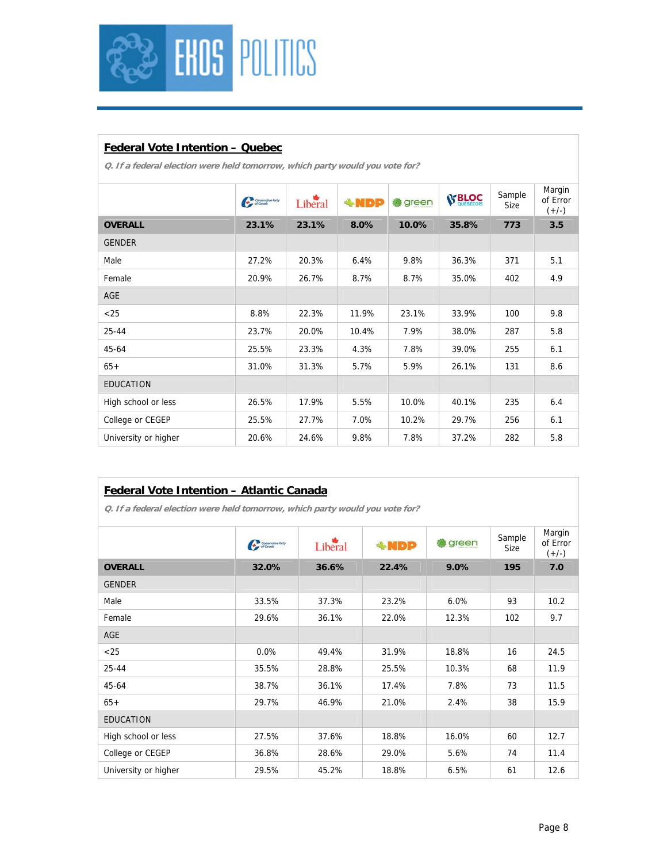

# **Federal Vote Intention – Quebec**

**Q. If a federal election were held tomorrow, which party would you vote for?** 

|                      | $C_{\ell}$ Standard Refs. | Liberal | $+NDP$ | green | <b>S' BLOC</b> | Sample<br>Size | Margin<br>of Error<br>$(+/-)$ |
|----------------------|---------------------------|---------|--------|-------|----------------|----------------|-------------------------------|
| <b>OVERALL</b>       | 23.1%                     | 23.1%   | 8.0%   | 10.0% | 35.8%          | 773            | 3.5                           |
| <b>GENDER</b>        |                           |         |        |       |                |                |                               |
| Male                 | 27.2%                     | 20.3%   | 6.4%   | 9.8%  | 36.3%          | 371            | 5.1                           |
| Female               | 20.9%                     | 26.7%   | 8.7%   | 8.7%  | 35.0%          | 402            | 4.9                           |
| AGE                  |                           |         |        |       |                |                |                               |
| $<$ 25               | 8.8%                      | 22.3%   | 11.9%  | 23.1% | 33.9%          | 100            | 9.8                           |
| 25-44                | 23.7%                     | 20.0%   | 10.4%  | 7.9%  | 38.0%          | 287            | 5.8                           |
| 45-64                | 25.5%                     | 23.3%   | 4.3%   | 7.8%  | 39.0%          | 255            | 6.1                           |
| $65+$                | 31.0%                     | 31.3%   | 5.7%   | 5.9%  | 26.1%          | 131            | 8.6                           |
| <b>EDUCATION</b>     |                           |         |        |       |                |                |                               |
| High school or less  | 26.5%                     | 17.9%   | 5.5%   | 10.0% | 40.1%          | 235            | 6.4                           |
| College or CEGEP     | 25.5%                     | 27.7%   | 7.0%   | 10.2% | 29.7%          | 256            | 6.1                           |
| University or higher | 20.6%                     | 24.6%   | 9.8%   | 7.8%  | 37.2%          | 282            | 5.8                           |

### **Federal Vote Intention – Atlantic Canada**

|                      | <b>Car Sympative Party</b> | Liberal | <b>*NDP</b> | green | Sample<br>Size | Margin<br>of Error<br>$(+/-)$ |
|----------------------|----------------------------|---------|-------------|-------|----------------|-------------------------------|
| <b>OVERALL</b>       | 32.0%                      | 36.6%   | 22.4%       | 9.0%  | 195            | 7.0                           |
| <b>GENDER</b>        |                            |         |             |       |                |                               |
| Male                 | 33.5%                      | 37.3%   | 23.2%       | 6.0%  | 93             | 10.2                          |
| Female               | 29.6%                      | 36.1%   | 22.0%       | 12.3% | 102            | 9.7                           |
| <b>AGE</b>           |                            |         |             |       |                |                               |
| < 25                 | 0.0%                       | 49.4%   | 31.9%       | 18.8% | 16             | 24.5                          |
| $25 - 44$            | 35.5%                      | 28.8%   | 25.5%       | 10.3% | 68             | 11.9                          |
| 45-64                | 38.7%                      | 36.1%   | 17.4%       | 7.8%  | 73             | 11.5                          |
| $65+$                | 29.7%                      | 46.9%   | 21.0%       | 2.4%  | 38             | 15.9                          |
| <b>EDUCATION</b>     |                            |         |             |       |                |                               |
| High school or less  | 27.5%                      | 37.6%   | 18.8%       | 16.0% | 60             | 12.7                          |
| College or CEGEP     | 36.8%                      | 28.6%   | 29.0%       | 5.6%  | 74             | 11.4                          |
| University or higher | 29.5%                      | 45.2%   | 18.8%       | 6.5%  | 61             | 12.6                          |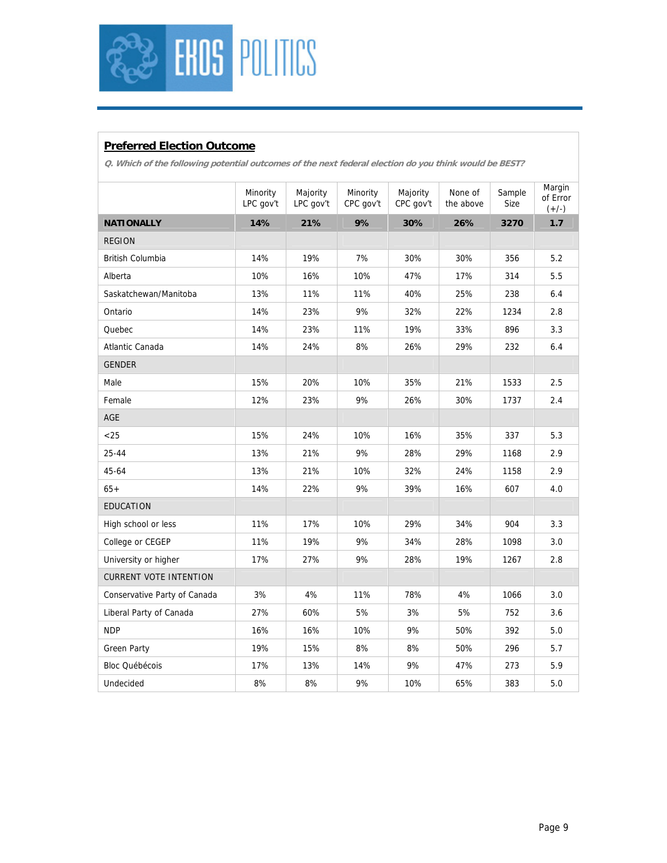

# **Preferred Election Outcome**

**Q. Which of the following potential outcomes of the next federal election do you think would be BEST?** 

|                               | Minority  | Majority  | Minority  | Majority  | None of   | Sample | Margin<br>of Error |
|-------------------------------|-----------|-----------|-----------|-----------|-----------|--------|--------------------|
|                               | LPC gov't | LPC gov't | CPC gov't | CPC gov't | the above | Size   | $(+/-)$            |
| <b>NATIONALLY</b>             | 14%       | 21%       | 9%        | 30%       | 26%       | 3270   | 1.7                |
| <b>REGION</b>                 |           |           |           |           |           |        |                    |
| British Columbia              | 14%       | 19%       | 7%        | 30%       | 30%       | 356    | 5.2                |
| Alberta                       | 10%       | 16%       | 10%       | 47%       | 17%       | 314    | 5.5                |
| Saskatchewan/Manitoba         | 13%       | 11%       | 11%       | 40%       | 25%       | 238    | 6.4                |
| Ontario                       | 14%       | 23%       | 9%        | 32%       | 22%       | 1234   | 2.8                |
| Quebec                        | 14%       | 23%       | 11%       | 19%       | 33%       | 896    | 3.3                |
| Atlantic Canada               | 14%       | 24%       | 8%        | 26%       | 29%       | 232    | 6.4                |
| <b>GENDER</b>                 |           |           |           |           |           |        |                    |
| Male                          | 15%       | 20%       | 10%       | 35%       | 21%       | 1533   | 2.5                |
| Female                        | 12%       | 23%       | 9%        | 26%       | 30%       | 1737   | 2.4                |
| AGE                           |           |           |           |           |           |        |                    |
| $<$ 25                        | 15%       | 24%       | 10%       | 16%       | 35%       | 337    | 5.3                |
| $25 - 44$                     | 13%       | 21%       | 9%        | 28%       | 29%       | 1168   | 2.9                |
| 45-64                         | 13%       | 21%       | 10%       | 32%       | 24%       | 1158   | 2.9                |
| $65+$                         | 14%       | 22%       | 9%        | 39%       | 16%       | 607    | 4.0                |
| <b>EDUCATION</b>              |           |           |           |           |           |        |                    |
| High school or less           | 11%       | 17%       | 10%       | 29%       | 34%       | 904    | 3.3                |
| College or CEGEP              | 11%       | 19%       | 9%        | 34%       | 28%       | 1098   | 3.0                |
| University or higher          | 17%       | 27%       | 9%        | 28%       | 19%       | 1267   | 2.8                |
| <b>CURRENT VOTE INTENTION</b> |           |           |           |           |           |        |                    |
| Conservative Party of Canada  | 3%        | 4%        | 11%       | 78%       | 4%        | 1066   | 3.0                |
| Liberal Party of Canada       | 27%       | 60%       | 5%        | 3%        | 5%        | 752    | 3.6                |
| <b>NDP</b>                    | 16%       | 16%       | 10%       | 9%        | 50%       | 392    | 5.0                |
| <b>Green Party</b>            | 19%       | 15%       | 8%        | 8%        | 50%       | 296    | 5.7                |
| <b>Bloc Québécois</b>         | 17%       | 13%       | 14%       | 9%        | 47%       | 273    | 5.9                |
| Undecided                     | 8%        | 8%        | 9%        | 10%       | 65%       | 383    | 5.0                |